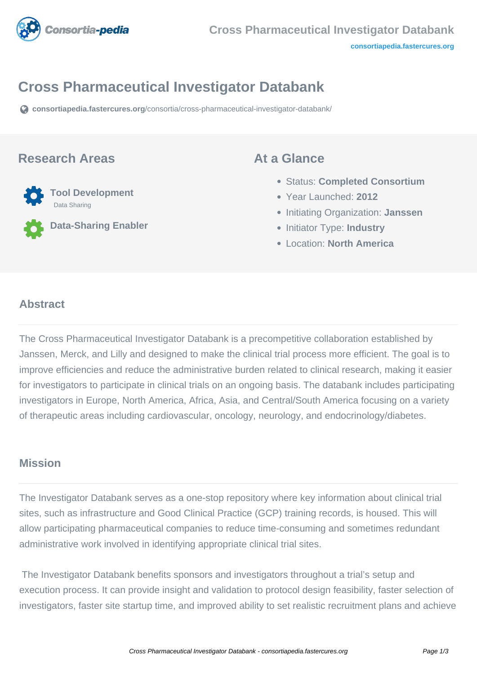

# **Cross Pharmaceutical Investigator Databank**

**[consortiapedia.fastercures.org](https://consortiapedia.fastercures.org/consortia/cross-pharmaceutical-investigator-databank/)**[/consortia/cross-pharmaceutical-investigator-databank/](https://consortiapedia.fastercures.org/consortia/cross-pharmaceutical-investigator-databank/)

#### **Research Areas**



**Data-Sharing Enabler**

#### **At a Glance**

- Status: **Completed Consortium**
- Year Launched: **2012**
- **Initiating Organization: Janssen**
- **Initiator Type: Industry**
- Location: **North America**

#### $\overline{a}$ **Abstract**

The Cross Pharmaceutical Investigator Databank is a precompetitive collaboration established by Janssen, Merck, and Lilly and designed to make the clinical trial process more efficient. The goal is to improve efficiencies and reduce the administrative burden related to clinical research, making it easier for investigators to participate in clinical trials on an ongoing basis. The databank includes participating investigators in Europe, North America, Africa, Asia, and Central/South America focusing on a variety of therapeutic areas including cardiovascular, oncology, neurology, and endocrinology/diabetes.

### **Mission**

The Investigator Databank serves as a one-stop repository where key information about clinical trial sites, such as infrastructure and Good Clinical Practice (GCP) training records, is housed. This will allow participating pharmaceutical companies to reduce time-consuming and sometimes redundant administrative work involved in identifying appropriate clinical trial sites.

 The Investigator Databank benefits sponsors and investigators throughout a trial's setup and execution process. It can provide insight and validation to protocol design feasibility, faster selection of investigators, faster site startup time, and improved ability to set realistic recruitment plans and achieve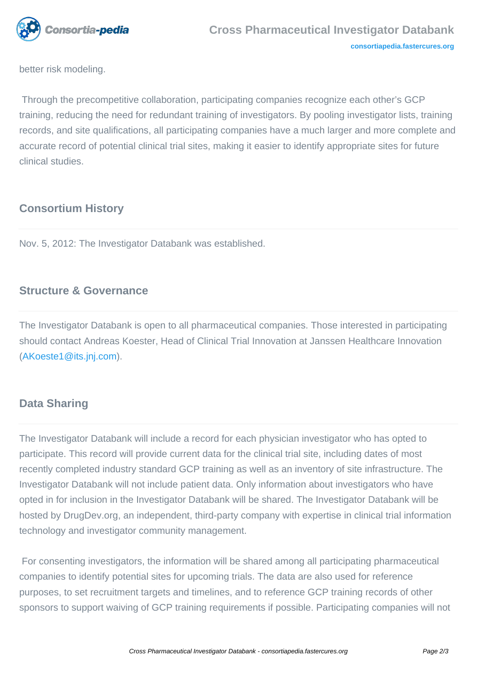

better risk modeling.

 Through the precompetitive collaboration, participating companies recognize each other's GCP training, reducing the need for redundant training of investigators. By pooling investigator lists, training records, and site qualifications, all participating companies have a much larger and more complete and accurate record of potential clinical trial sites, making it easier to identify appropriate sites for future clinical studies.

## **Consortium History**

Nov. 5, 2012: The Investigator Databank was established.

### **Structure & Governance**

The Investigator Databank is open to all pharmaceutical companies. Those interested in participating should contact Andreas Koester, Head of Clinical Trial Innovation at Janssen Healthcare Innovation ([AKoeste1@its.jnj.com\)](mailto:AKoeste1@its.jnj.com).

### **Data Sharing**

The Investigator Databank will include a record for each physician investigator who has opted to participate. This record will provide current data for the clinical trial site, including dates of most recently completed industry standard GCP training as well as an inventory of site infrastructure. The Investigator Databank will not include patient data. Only information about investigators who have opted in for inclusion in the Investigator Databank will be shared. The Investigator Databank will be hosted by DrugDev.org, an independent, third-party company with expertise in clinical trial information technology and investigator community management.

 For consenting investigators, the information will be shared among all participating pharmaceutical companies to identify potential sites for upcoming trials. The data are also used for reference purposes, to set recruitment targets and timelines, and to reference GCP training records of other sponsors to support waiving of GCP training requirements if possible. Participating companies will not